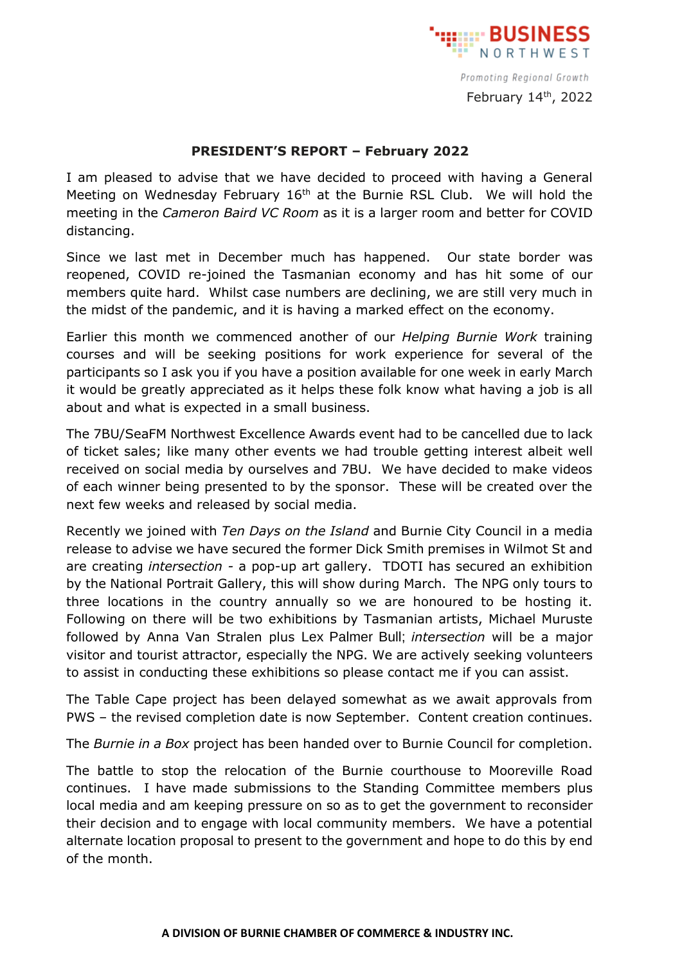

Promoting Regional Growth February  $14<sup>th</sup>$ , 2022

## **PRESIDENT'S REPORT – February 2022**

I am pleased to advise that we have decided to proceed with having a General Meeting on Wednesday February 16<sup>th</sup> at the Burnie RSL Club. We will hold the meeting in the *Cameron Baird VC Room* as it is a larger room and better for COVID distancing.

Since we last met in December much has happened. Our state border was reopened, COVID re-joined the Tasmanian economy and has hit some of our members quite hard. Whilst case numbers are declining, we are still very much in the midst of the pandemic, and it is having a marked effect on the economy.

Earlier this month we commenced another of our *Helping Burnie Work* training courses and will be seeking positions for work experience for several of the participants so I ask you if you have a position available for one week in early March it would be greatly appreciated as it helps these folk know what having a job is all about and what is expected in a small business.

The 7BU/SeaFM Northwest Excellence Awards event had to be cancelled due to lack of ticket sales; like many other events we had trouble getting interest albeit well received on social media by ourselves and 7BU. We have decided to make videos of each winner being presented to by the sponsor. These will be created over the next few weeks and released by social media.

Recently we joined with *Ten Days on the Island* and Burnie City Council in a media release to advise we have secured the former Dick Smith premises in Wilmot St and are creating *intersection -* a pop-up art gallery. TDOTI has secured an exhibition by the National Portrait Gallery, this will show during March. The NPG only tours to three locations in the country annually so we are honoured to be hosting it. Following on there will be two exhibitions by Tasmanian artists, Michael Muruste followed by Anna Van Stralen plus Lex Palmer Bull; *intersection* will be a major visitor and tourist attractor, especially the NPG. We are actively seeking volunteers to assist in conducting these exhibitions so please contact me if you can assist.

The Table Cape project has been delayed somewhat as we await approvals from PWS – the revised completion date is now September. Content creation continues.

The *Burnie in a Box* project has been handed over to Burnie Council for completion.

The battle to stop the relocation of the Burnie courthouse to Mooreville Road continues. I have made submissions to the Standing Committee members plus local media and am keeping pressure on so as to get the government to reconsider their decision and to engage with local community members. We have a potential alternate location proposal to present to the government and hope to do this by end of the month.